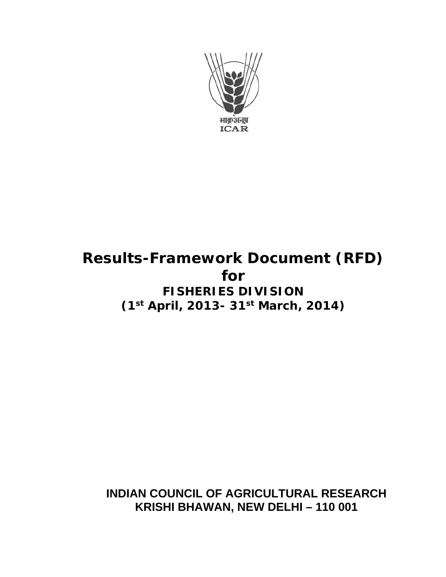

# **Results-Framework Document (RFD) for FISHERIES DIVISION (1st April, 2013- 31st March, 2014)**

**INDIAN COUNCIL OF AGRICULTURAL RESEARCH KRISHI BHAWAN, NEW DELHI – 110 001**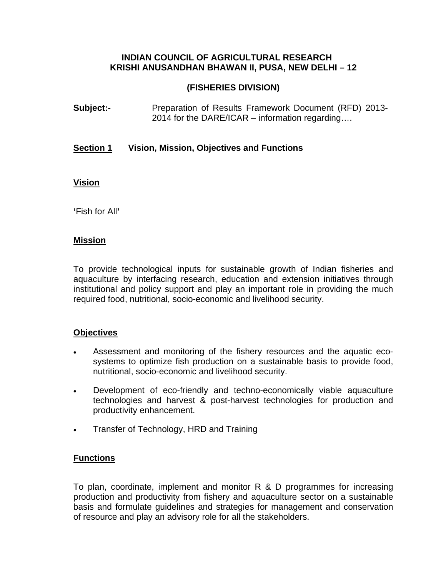#### **INDIAN COUNCIL OF AGRICULTURAL RESEARCH KRISHI ANUSANDHAN BHAWAN II, PUSA, NEW DELHI – 12**

#### **(FISHERIES DIVISION)**

**Subject:-** Preparation of Results Framework Document (RFD) 2013-2014 for the DARE/ICAR – information regarding….

#### **Section 1 Vision, Mission, Objectives and Functions**

#### **Vision**

**'**Fish for All**'**

#### **Mission**

To provide technological inputs for sustainable growth of Indian fisheries and aquaculture by interfacing research, education and extension initiatives through institutional and policy support and play an important role in providing the much required food, nutritional, socio-economic and livelihood security.

#### **Objectives**

- Assessment and monitoring of the fishery resources and the aquatic ecosystems to optimize fish production on a sustainable basis to provide food, nutritional, socio-economic and livelihood security.
- Development of eco-friendly and techno-economically viable aquaculture technologies and harvest & post-harvest technologies for production and productivity enhancement.
- Transfer of Technology, HRD and Training

#### **Functions**

To plan, coordinate, implement and monitor R & D programmes for increasing production and productivity from fishery and aquaculture sector on a sustainable basis and formulate guidelines and strategies for management and conservation of resource and play an advisory role for all the stakeholders.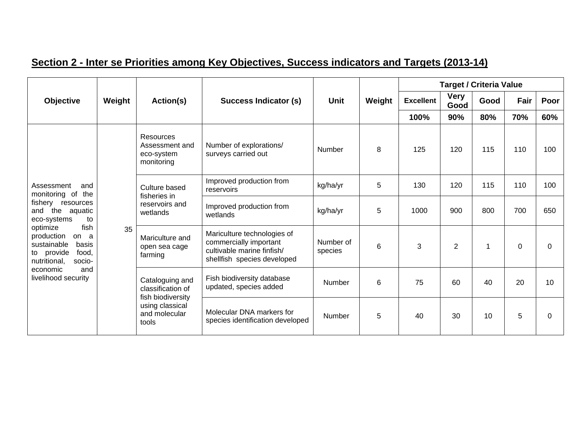|                                                                                                         |        |                                                                |                                                               |             |        |                  | <b>Target / Criteria Value</b>              |                                                                                                                    |                      |          |   |                |   |          |          |
|---------------------------------------------------------------------------------------------------------|--------|----------------------------------------------------------------|---------------------------------------------------------------|-------------|--------|------------------|---------------------------------------------|--------------------------------------------------------------------------------------------------------------------|----------------------|----------|---|----------------|---|----------|----------|
| <b>Objective</b>                                                                                        | Weight | Action(s)                                                      | Success Indicator (s)                                         | <b>Unit</b> | Weight | <b>Excellent</b> | <b>Very</b><br>Good                         | Good                                                                                                               | Fair                 | Poor     |   |                |   |          |          |
|                                                                                                         |        |                                                                |                                                               |             |        | 100%             | 90%                                         | 80%                                                                                                                | 70%                  | 60%      |   |                |   |          |          |
| Assessment<br>and<br>the<br>monitoring of                                                               |        | <b>Resources</b><br>Assessment and<br>eco-system<br>monitoring | Number of explorations/<br>surveys carried out                | Number      | 8      | 125              | 120                                         | 115                                                                                                                | 110                  | 100      |   |                |   |          |          |
|                                                                                                         |        | Culture based<br>fisheries in                                  | Improved production from<br>reservoirs                        | kg/ha/yr    | 5      | 130              | 120                                         | 115                                                                                                                | 110                  | 100      |   |                |   |          |          |
| resources<br>fishery<br>the<br>aquatic<br>and<br>eco-systems<br>to                                      | 35     | reservoirs and<br>wetlands                                     | Improved production from<br>wetlands                          | kg/ha/yr    | 5      | 1000             | 900                                         | 800                                                                                                                | 700                  | 650      |   |                |   |          |          |
| optimize<br>production<br>on a<br>sustainable<br>basis<br>to provide<br>food,<br>nutritional,<br>socio- |        |                                                                |                                                               |             |        | fish             | Mariculture and<br>open sea cage<br>farming | Mariculture technologies of<br>commercially important<br>cultivable marine finfish/<br>shellfish species developed | Number of<br>species | 6        | 3 | $\overline{2}$ | 1 | $\Omega$ | $\Omega$ |
| and<br>economic<br>livelihood security                                                                  |        | Cataloguing and<br>classification of                           | Fish biodiversity database<br>updated, species added          | Number      | 6      | 75               | 60                                          | 40                                                                                                                 | 20                   | 10       |   |                |   |          |          |
|                                                                                                         |        | fish biodiversity<br>using classical<br>and molecular<br>tools | Molecular DNA markers for<br>species identification developed | Number      | 5      | 40               | 30                                          | 10                                                                                                                 | 5                    | $\Omega$ |   |                |   |          |          |

### **Section 2 - Inter se Priorities among Key Objectives, Success indicators and Targets (2013-14)**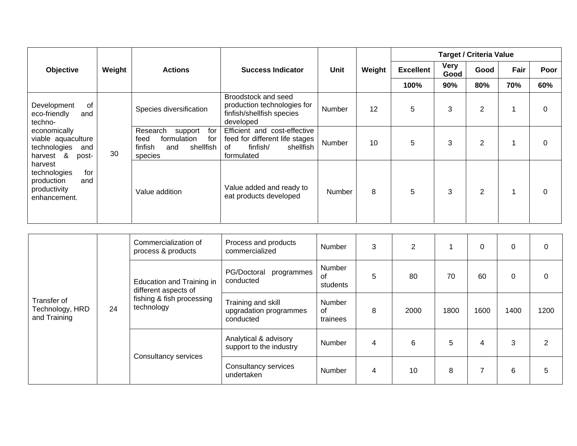|                                                                                     |        |                                                                                                    |                                                                                                             |               |        |                  |                     | <b>Target / Criteria Value</b> |      |          |
|-------------------------------------------------------------------------------------|--------|----------------------------------------------------------------------------------------------------|-------------------------------------------------------------------------------------------------------------|---------------|--------|------------------|---------------------|--------------------------------|------|----------|
| Objective                                                                           | Weight | <b>Actions</b>                                                                                     | <b>Success Indicator</b>                                                                                    | Unit          | Weight | <b>Excellent</b> | <b>Very</b><br>Good | Good                           | Fair | Poor     |
|                                                                                     |        |                                                                                                    |                                                                                                             |               |        | 100%             | 90%                 | 80%                            | 70%  | 60%      |
| 0f<br>Development<br>eco-friendly<br>and<br>techno-                                 |        | Species diversification                                                                            | Broodstock and seed<br>production technologies for<br>finfish/shellfish species<br>developed                | Number        | 12     | 5                | 3                   | $\overline{2}$                 |      | 0        |
| economically<br>viable aquaculture<br>technologies<br>and<br>&<br>harvest<br>post-  | 30     | Research<br>for<br>support<br>formulation<br>for<br>feed<br>shellfish<br>finfish<br>and<br>species | Efficient and cost-effective<br>feed for different life stages<br>finfish/<br>shellfish<br>οf<br>formulated | Number        | 10     | 5                | 3                   | $\overline{2}$                 | 4    | 0        |
| harvest<br>for<br>technologies<br>production<br>and<br>productivity<br>enhancement. |        | Value addition                                                                                     | Value added and ready to<br>eat products developed                                                          | <b>Number</b> | 8      | 5                | 3                   | $\overline{2}$                 |      | $\Omega$ |

|                                                | 24 | Commercialization of<br>process & products                                                   | Process and products<br>commercialized                    | Number                   | 3 | 2    |      | 0    | 0    |      |
|------------------------------------------------|----|----------------------------------------------------------------------------------------------|-----------------------------------------------------------|--------------------------|---|------|------|------|------|------|
| Transfer of<br>Technology, HRD<br>and Training |    | Education and Training in<br>different aspects of<br>fishing & fish processing<br>technology | PG/Doctoral<br>programmes<br>conducted                    | Number<br>0f<br>students | 5 | 80   | 70   | 60   |      |      |
|                                                |    |                                                                                              | Training and skill<br>upgradation programmes<br>conducted | Number<br>0f<br>trainees | 8 | 2000 | 1800 | 1600 | 1400 | 1200 |
|                                                |    | Consultancy services                                                                         | Analytical & advisory<br>support to the industry          | Number                   | 4 | 6    | 5    | 4    | 3    | っ    |
|                                                |    |                                                                                              | Consultancy services<br>undertaken                        | Number                   | 4 | 10   | 8    | 7    | 6    | 5    |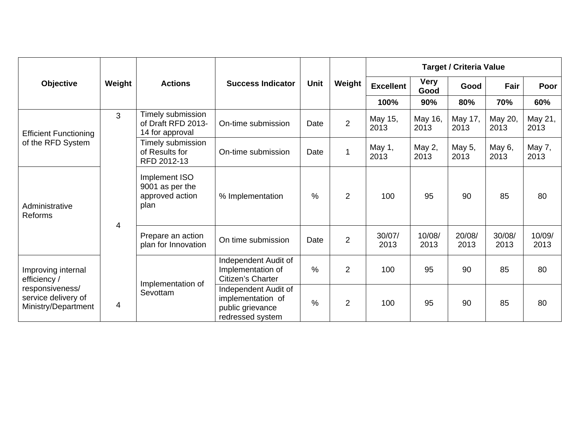|                                                               |                |                                                             |                                                                                   |               |                |                  |                     | <b>Target / Criteria Value</b> |                 |                 |
|---------------------------------------------------------------|----------------|-------------------------------------------------------------|-----------------------------------------------------------------------------------|---------------|----------------|------------------|---------------------|--------------------------------|-----------------|-----------------|
| <b>Objective</b>                                              | Weight         | <b>Actions</b>                                              | <b>Success Indicator</b>                                                          | <b>Unit</b>   | Weight         | <b>Excellent</b> | <b>Very</b><br>Good | Good                           | Fair            | Poor            |
|                                                               |                |                                                             |                                                                                   |               |                | 100%             | 90%                 | 80%                            | 70%             | 60%             |
| <b>Efficient Functioning</b>                                  | 3              | Timely submission<br>of Draft RFD 2013-<br>14 for approval  | On-time submission                                                                | Date          | $\overline{2}$ | May 15,<br>2013  | May 16,<br>2013     | May 17,<br>2013                | May 20,<br>2013 | May 21,<br>2013 |
| of the RFD System                                             |                | Timely submission<br>of Results for<br>RFD 2012-13          | On-time submission                                                                | Date          | 1              | May 1,<br>2013   | May 2,<br>2013      | May 5,<br>2013                 | May 6,<br>2013  | May 7,<br>2013  |
| Administrative<br>Reforms                                     |                | Implement ISO<br>9001 as per the<br>approved action<br>plan | % Implementation                                                                  | $\frac{0}{0}$ | $\overline{2}$ | 100              | 95                  | 90                             | 85              | 80              |
|                                                               | $\overline{4}$ | Prepare an action<br>plan for Innovation                    | On time submission                                                                | Date          | $\overline{2}$ | 30/07/<br>2013   | 10/08/<br>2013      | 20/08/<br>2013                 | 30/08/<br>2013  | 10/09/<br>2013  |
| Improving internal<br>efficiency /                            |                | Implementation of                                           | Independent Audit of<br>Implementation of<br>Citizen's Charter                    | $\frac{0}{0}$ | $\overline{2}$ | 100              | 95                  | 90                             | 85              | 80              |
| responsiveness/<br>service delivery of<br>Ministry/Department | 4              | Sevottam                                                    | Independent Audit of<br>implementation of<br>public grievance<br>redressed system | $\frac{0}{0}$ | $\overline{2}$ | 100              | 95                  | 90                             | 85              | 80              |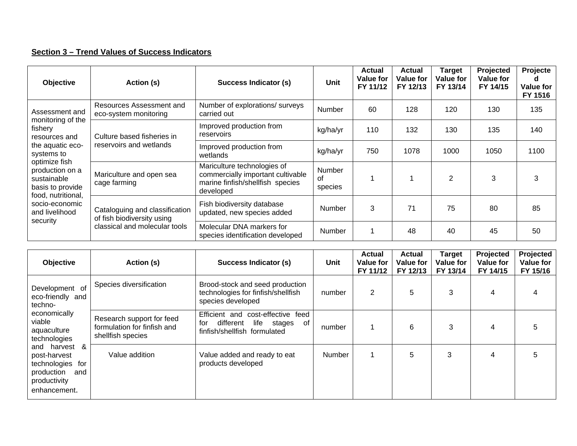#### **Section 3 – Trend Values of Success Indicators**

| Objective                                                           | Action (s)                                                   | Success Indicator (s)                                                                                             | Unit                    | <b>Actual</b><br><b>Value for</b><br>FY 11/12 | <b>Actual</b><br><b>Value for</b><br>FY 12/13 | Target<br><b>Value for</b><br>FY 13/14 | Projected<br>Value for<br>FY 14/15 | Projecte<br><b>Value for</b><br>FY 1516 |
|---------------------------------------------------------------------|--------------------------------------------------------------|-------------------------------------------------------------------------------------------------------------------|-------------------------|-----------------------------------------------|-----------------------------------------------|----------------------------------------|------------------------------------|-----------------------------------------|
| Assessment and                                                      | Resources Assessment and<br>eco-system monitoring            | Number of explorations/ surveys<br>carried out                                                                    | Number                  | 60                                            | 128                                           | 120                                    | 130                                | 135                                     |
| monitoring of the<br>fishery<br>resources and                       | Culture based fisheries in                                   | Improved production from<br>reservoirs                                                                            | kg/ha/yr                | 110                                           | 132                                           | 130                                    | 135                                | 140                                     |
| the aquatic eco-<br>systems to                                      | reservoirs and wetlands                                      | Improved production from<br>wetlands                                                                              | kg/ha/yr                | 750                                           | 1078                                          | 1000                                   | 1050                               | 1100                                    |
| optimize fish<br>production on a<br>sustainable<br>basis to provide | Mariculture and open sea<br>cage farming                     | Mariculture technologies of<br>commercially important cultivable<br>marine finfish/shellfish species<br>developed | Number<br>of<br>species |                                               |                                               | $\overline{2}$                         | 3                                  | 3                                       |
| food, nutritional,<br>socio-economic<br>and livelihood<br>security  | Cataloguing and classification<br>of fish biodiversity using | Fish biodiversity database<br>updated, new species added                                                          | Number                  | 3                                             | 71                                            | 75                                     | 80                                 | 85                                      |
|                                                                     | classical and molecular tools                                | Molecular DNA markers for<br>species identification developed                                                     | Number                  |                                               | 48                                            | 40                                     | 45                                 | 50                                      |

| <b>Objective</b>                                                                                       | Action (s)                                                                    | Success Indicator (s)                                                                                         | Unit   | <b>Actual</b><br>Value for<br>FY 11/12 | <b>Actual</b><br><b>Value for</b><br>FY 12/13 | <b>Target</b><br>Value for<br>FY 13/14 | Projected<br><b>Value for</b><br>FY 14/15 | Projected<br><b>Value for</b><br>FY 15/16 |
|--------------------------------------------------------------------------------------------------------|-------------------------------------------------------------------------------|---------------------------------------------------------------------------------------------------------------|--------|----------------------------------------|-----------------------------------------------|----------------------------------------|-------------------------------------------|-------------------------------------------|
| Development of<br>eco-friendly and<br>techno-                                                          | Species diversification                                                       | Brood-stock and seed production<br>technologies for finfish/shellfish<br>species developed                    | number | 2                                      | 5                                             | 3                                      | 4                                         | 4                                         |
| economically<br>viable<br>aquaculture<br>technologies                                                  | Research support for feed<br>formulation for finfish and<br>shellfish species | Efficient and cost-effective feed<br>different<br>for<br>life<br>stages<br>of<br>finfish/shellfish formulated | number | 1                                      | 6                                             | 3                                      | 4                                         | 5                                         |
| and harvest &<br>post-harvest<br>technologies for<br>production<br>and<br>productivity<br>enhancement. | Value addition                                                                | Value added and ready to eat<br>products developed                                                            | Number | 1                                      | 5                                             | 3                                      | 4                                         | 5                                         |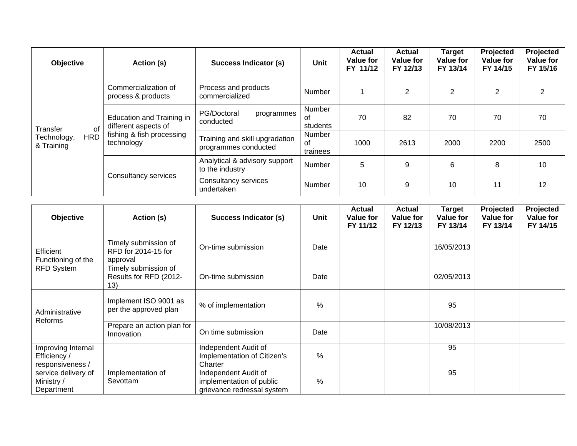| <b>Objective</b>                        | Action (s)                                                                                   | Success Indicator (s)                                  | Unit                     | <b>Actual</b><br><b>Value for</b><br>FY 11/12 | <b>Actual</b><br>Value for<br>FY 12/13 | <b>Target</b><br>Value for<br>FY 13/14 | Projected<br>Value for<br>FY 14/15 | Projected<br>Value for<br>FY 15/16 |
|-----------------------------------------|----------------------------------------------------------------------------------------------|--------------------------------------------------------|--------------------------|-----------------------------------------------|----------------------------------------|----------------------------------------|------------------------------------|------------------------------------|
|                                         | Commercialization of<br>process & products                                                   | Process and products<br>commercialized                 | Number                   |                                               | $\overline{2}$                         | 2                                      | 2                                  | 2                                  |
| οf<br>Transfer                          | Education and Training in<br>different aspects of<br>fishing & fish processing<br>technology | PG/Doctoral<br>programmes<br>conducted                 | Number<br>0f<br>students | 70                                            | 82                                     | 70                                     | 70                                 | 70                                 |
| <b>HRD</b><br>Technology,<br>& Training |                                                                                              | Training and skill upgradation<br>programmes conducted | Number<br>of<br>trainees | 1000                                          | 2613                                   | 2000                                   | 2200                               | 2500                               |
|                                         |                                                                                              | Analytical & advisory support<br>to the industry       | Number                   | 5                                             | 9                                      | 6                                      | 8                                  | 10                                 |
|                                         | Consultancy services                                                                         | Consultancy services<br>undertaken                     | Number                   | 10                                            | 9                                      | 10                                     | 11                                 | 12                                 |

| Objective                                              | Action (s)                                              | <b>Success Indicator (s)</b>                                                   | Unit          | <b>Actual</b><br>Value for<br>FY 11/12 | <b>Actual</b><br><b>Value for</b><br>FY 12/13 | <b>Target</b><br><b>Value for</b><br>FY 13/14 | Projected<br><b>Value for</b><br>FY 13/14 | Projected<br><b>Value for</b><br>FY 14/15 |
|--------------------------------------------------------|---------------------------------------------------------|--------------------------------------------------------------------------------|---------------|----------------------------------------|-----------------------------------------------|-----------------------------------------------|-------------------------------------------|-------------------------------------------|
| Efficient<br>Functioning of the                        | Timely submission of<br>RFD for 2014-15 for<br>approval | On-time submission                                                             | Date          |                                        |                                               | 16/05/2013                                    |                                           |                                           |
| <b>RFD System</b>                                      | Timely submission of<br>Results for RFD (2012-<br>13)   | On-time submission                                                             | Date          |                                        |                                               | 02/05/2013                                    |                                           |                                           |
| Administrative                                         | Implement ISO 9001 as<br>per the approved plan          | % of implementation                                                            | $\frac{0}{0}$ |                                        |                                               | 95                                            |                                           |                                           |
| Reforms                                                | Prepare an action plan for<br>Innovation                | On time submission                                                             | Date          |                                        |                                               | 10/08/2013                                    |                                           |                                           |
| Improving Internal<br>Efficiency /<br>responsiveness / |                                                         | Independent Audit of<br>Implementation of Citizen's<br>Charter                 | %             |                                        |                                               | 95                                            |                                           |                                           |
| service delivery of<br>Ministry /<br>Department        | Implementation of<br>Sevottam                           | Independent Audit of<br>implementation of public<br>grievance redressal system | $\frac{0}{0}$ |                                        |                                               | 95                                            |                                           |                                           |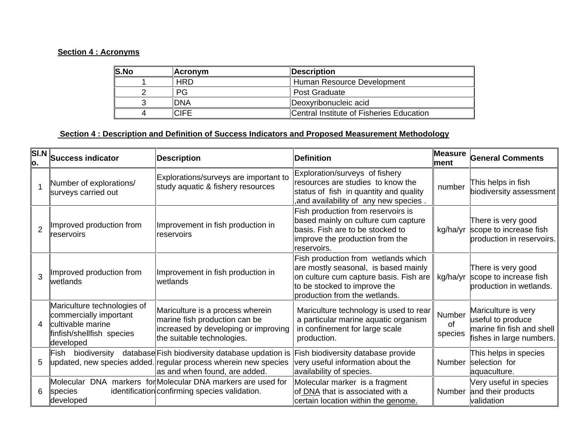#### **Section 4 : Acronyms**

| <b>S.No</b> | <b>Acronym</b> | Description                              |
|-------------|----------------|------------------------------------------|
|             | <b>HRD</b>     | ∥ Human Resource Development             |
|             | РG             | ll Post Graduate                         |
|             | <b>DNA</b>     | Deoxyribonucleic acid                    |
|             | <b>CIFE</b>    | Central Institute of Fisheries Education |

#### **Section 4 : Description and Definition of Success Indicators and Proposed Measurement Methodology**

| <b>SI.N</b><br>0. | <b>Success indicator</b>                                                                                             | <b>Description</b>                                                                                                                                               | <b>Definition</b>                                                                                                                                                                      | Measure<br>lment               | <b>General Comments</b>                                                                           |
|-------------------|----------------------------------------------------------------------------------------------------------------------|------------------------------------------------------------------------------------------------------------------------------------------------------------------|----------------------------------------------------------------------------------------------------------------------------------------------------------------------------------------|--------------------------------|---------------------------------------------------------------------------------------------------|
|                   | Number of explorations/<br>surveys carried out                                                                       | Explorations/surveys are important to<br>study aquatic & fishery resources                                                                                       | Exploration/surveys of fishery<br>resources are studies to know the<br>status of fish in quantity and quality<br>, and availability of any new species,                                | number                         | This helps in fish<br>biodiversity assessment                                                     |
|                   | Improved production from<br>reservoirs                                                                               | Improvement in fish production in<br>reservoirs                                                                                                                  | Fish production from reservoirs is<br>based mainly on culture cum capture<br>basis. Fish are to be stocked to<br>improve the production from the<br>reservoirs.                        | kg/ha/yr                       | There is very good<br>scope to increase fish<br>production in reservoirs.                         |
|                   | Improved production from<br>wetlands                                                                                 | Improvement in fish production in<br>wetlands                                                                                                                    | Fish production from wetlands which<br>are mostly seasonal, is based mainly<br>on culture cum capture basis. Fish are<br>to be stocked to improve the<br>production from the wetlands. | kg/ha/yr                       | There is very good<br>scope to increase fish<br>production in wetlands.                           |
|                   | Mariculture technologies of<br>commercially important<br>cultivable marine<br>finfish/shellfish species<br>developed | Mariculture is a process wherein<br>marine fish production can be<br>increased by developing or improving<br>the suitable technologies.                          | Mariculture technology is used to rear<br>a particular marine aquatic organism<br>in confinement for large scale<br>production.                                                        | Number<br><b>of</b><br>species | Mariculture is very<br>useful to produce<br>marine fin fish and shell<br>fishes in large numbers. |
|                   | llFish                                                                                                               | biodiversity database Fish biodiversity database updation is<br>updated, new species added. regular process wherein new species<br>as and when found, are added. | Fish biodiversity database provide<br>very useful information about the<br>availability of species.                                                                                    | Number                         | This helps in species<br>selection for<br>aquaculture.                                            |
|                   | species<br>developed                                                                                                 | Molecular DNA markers for Molecular DNA markers are used for<br>identification confirming species validation.                                                    | Molecular marker is a fragment<br>of DNA that is associated with a<br>certain location within the genome.                                                                              |                                | Very useful in species<br>Number and their products<br>validation                                 |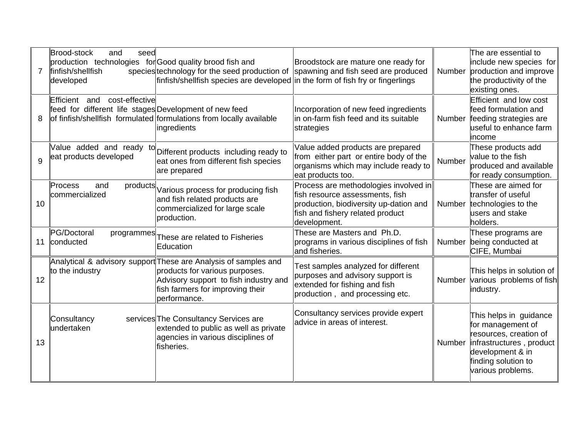| $\overline{7}$ | <b>Brood-stock</b><br>seed<br>and<br>production technologies for Good quality brood fish and<br>finfish/shellfish<br>developed | species technology for the seed production of spawning and fish seed are produced<br>finfish/shellfish species are developed in the form of fish fry or fingerlings                            | Broodstock are mature one ready for                                                                                                                                    |        | The are essential to<br>include new species for<br>Number production and improve<br>the productivity of the<br>existing ones.                                     |
|----------------|--------------------------------------------------------------------------------------------------------------------------------|------------------------------------------------------------------------------------------------------------------------------------------------------------------------------------------------|------------------------------------------------------------------------------------------------------------------------------------------------------------------------|--------|-------------------------------------------------------------------------------------------------------------------------------------------------------------------|
| 8              | cost-effective<br>Efficient and<br>feed for different life stages Development of new feed                                      | of finfish/shellfish formulated formulations from locally available<br>ingredients                                                                                                             | Incorporation of new feed ingredients<br>in on-farm fish feed and its suitable<br>strategies                                                                           | Number | Efficient and low cost<br>feed formulation and<br>feeding strategies are<br>useful to enhance farm<br>income                                                      |
| $\overline{Q}$ | eat products developed                                                                                                         | Value added and ready to Different products including ready to<br>eat ones from different fish species<br>are prepared                                                                         | Value added products are prepared<br>from either part or entire body of the<br>organisms which may include ready to<br>eat products too.                               | Number | These products add<br>value to the fish<br>produced and available<br>for ready consumption.                                                                       |
| 10             | Process<br>and<br>commercialized                                                                                               | products Various process for producing fish<br>and fish related products are<br>commercialized for large scale<br>production.                                                                  | Process are methodologies involved in<br>fish resource assessments, fish<br>production, biodiversity up-dation and<br>fish and fishery related product<br>development. | Number | These are aimed for<br>transfer of useful<br>technologies to the<br>users and stake<br>holders.                                                                   |
| 11             | PG/Doctoral<br>conducted                                                                                                       | programmes These are related to Fisheries<br>Education                                                                                                                                         | These are Masters and Ph.D.<br>programs in various disciplines of fish<br>and fisheries.                                                                               |        | These programs are<br>Number being conducted at<br>CIFE, Mumbai                                                                                                   |
| 12             | to the industry                                                                                                                | Analytical & advisory support These are Analysis of samples and<br>products for various purposes.<br>Advisory support to fish industry and<br>fish farmers for improving their<br>performance. | Test samples analyzed for different<br>purposes and advisory support is<br>extended for fishing and fish<br>production, and processing etc.                            |        | This helps in solution of<br>Number various problems of fish<br>industry.                                                                                         |
| 13             | Consultancy<br>undertaken                                                                                                      | services The Consultancy Services are<br>extended to public as well as private<br>agencies in various disciplines of<br>fisheries.                                                             | Consultancy services provide expert<br>advice in areas of interest.                                                                                                    | Number | This helps in guidance<br>for management of<br>resources, creation of<br>infrastructures, product<br>development & in<br>finding solution to<br>various problems. |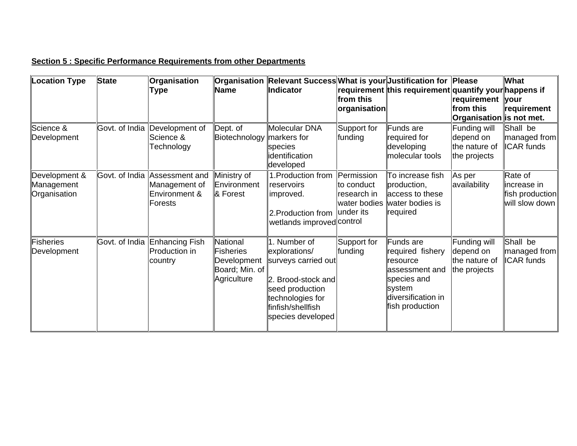#### **Section 5 : Specific Performance Requirements from other Departments**

| Location Type               | <b>State</b>   | Organisation                    |                                            | <b>Organisation Relevant Success</b> What is your Justification for Please  |                             |                                                                |                                            | What                              |
|-----------------------------|----------------|---------------------------------|--------------------------------------------|-----------------------------------------------------------------------------|-----------------------------|----------------------------------------------------------------|--------------------------------------------|-----------------------------------|
|                             |                | Type                            | <b>Name</b>                                | <b>Indicator</b>                                                            |                             | requirement this requirement quantify your happens if          |                                            |                                   |
|                             |                |                                 |                                            |                                                                             | from this                   |                                                                | ∣requirement                               | your                              |
|                             |                |                                 |                                            |                                                                             | organisation                |                                                                | from this                                  | requirement                       |
| Science &                   | Govt. of India | Development of                  | $\Delta$                                   | Molecular DNA                                                               | Support for                 | Funds are                                                      | Organisation is not met.<br>Funding will   | Shall be                          |
| Development                 |                | Science &                       | Biotechnology                              | markers for                                                                 | funding                     | required for                                                   | depend on                                  | managed from                      |
|                             |                | Technology                      |                                            | species                                                                     |                             | developing                                                     | the nature of                              | <b>ICAR</b> funds                 |
|                             |                |                                 |                                            | identification                                                              |                             | <b>Imolecular tools</b>                                        | the projects                               |                                   |
|                             |                |                                 |                                            | developed                                                                   |                             |                                                                |                                            |                                   |
| Development &<br>Management | Govt. of India | Assessment and<br>Management of | Ministry of<br>Environment                 | 1. Production from<br>reservoirs                                            | Permission<br>lto conduct   | To increase fish<br>production,                                | As per<br>availability                     | Rate of<br>lincrease in           |
| Organisation                |                | Environment &<br>Forests        | & Forest                                   | improved.                                                                   | research in<br>water bodies | access to these<br>water bodies is                             |                                            | fish production<br>will slow down |
|                             |                |                                 |                                            | 2. Production from<br>wetlands improved control                             | under its                   | required                                                       |                                            |                                   |
| Fisheries                   | Govt. of India | Enhancing Fish                  | National                                   | 1. Number of                                                                | Support for                 | Funds are                                                      | Funding will                               | Shall be                          |
| Development                 |                | <b>Production in</b><br>country | Fisheries<br>Development<br>Board; Min. of | explorations/<br>surveys carried out                                        | funding                     | required fishery<br>resource<br>lassessment and                | depend on<br>the nature of<br>the projects | managed from<br><b>ICAR</b> funds |
|                             |                |                                 | Agriculture                                | Brood-stock and<br>seed production<br>technologies for<br>finfish/shellfish |                             | species and<br>system<br>diversification in<br>fish production |                                            |                                   |
|                             |                |                                 |                                            | species developed                                                           |                             |                                                                |                                            |                                   |